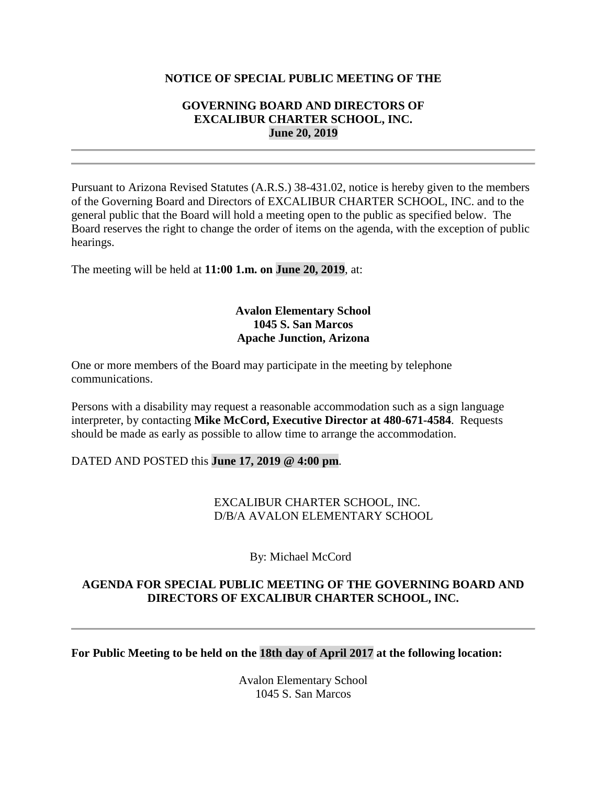#### **NOTICE OF SPECIAL PUBLIC MEETING OF THE**

#### **GOVERNING BOARD AND DIRECTORS OF EXCALIBUR CHARTER SCHOOL, INC. June 20, 2019**

Pursuant to Arizona Revised Statutes (A.R.S.) 38-431.02, notice is hereby given to the members of the Governing Board and Directors of EXCALIBUR CHARTER SCHOOL, INC. and to the general public that the Board will hold a meeting open to the public as specified below. The Board reserves the right to change the order of items on the agenda, with the exception of public hearings.

The meeting will be held at **11:00 1.m. on June 20, 2019**, at:

## **Avalon Elementary School 1045 S. San Marcos Apache Junction, Arizona**

One or more members of the Board may participate in the meeting by telephone communications.

Persons with a disability may request a reasonable accommodation such as a sign language interpreter, by contacting **Mike McCord, Executive Director at 480-671-4584**. Requests should be made as early as possible to allow time to arrange the accommodation.

#### DATED AND POSTED this **June 17, 2019 @ 4:00 pm**.

#### EXCALIBUR CHARTER SCHOOL, INC. D/B/A AVALON ELEMENTARY SCHOOL

By: Michael McCord

### **AGENDA FOR SPECIAL PUBLIC MEETING OF THE GOVERNING BOARD AND DIRECTORS OF EXCALIBUR CHARTER SCHOOL, INC.**

**For Public Meeting to be held on the 18th day of April 2017 at the following location:**

Avalon Elementary School 1045 S. San Marcos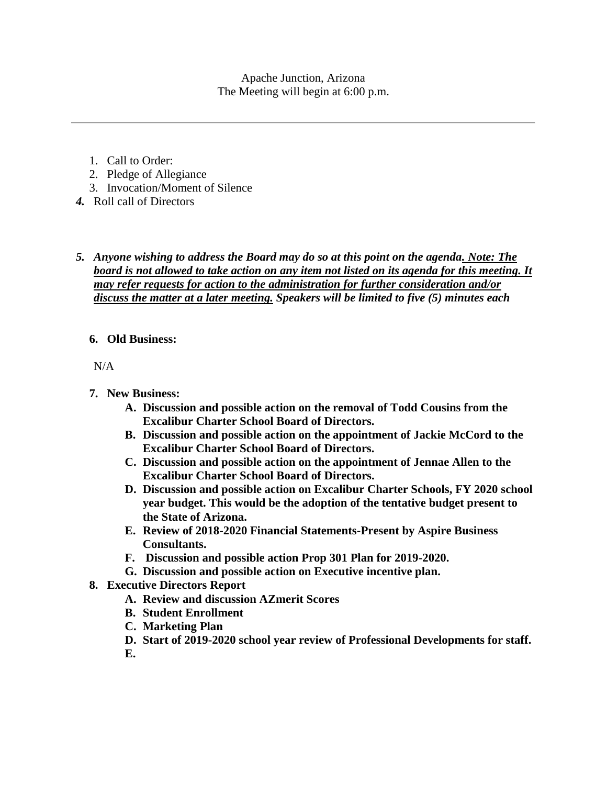Apache Junction, Arizona The Meeting will begin at 6:00 p.m.

- 1. Call to Order:
- 2. Pledge of Allegiance
- 3. Invocation/Moment of Silence
- *4.* Roll call of Directors
- *5. Anyone wishing to address the Board may do so at this point on the agenda. Note: The board is not allowed to take action on any item not listed on its agenda for this meeting. It may refer requests for action to the administration for further consideration and/or discuss the matter at a later meeting. Speakers will be limited to five (5) minutes each*

## **6. Old Business:**

N/A

- **7. New Business:**
	- **A. Discussion and possible action on the removal of Todd Cousins from the Excalibur Charter School Board of Directors.**
	- **B. Discussion and possible action on the appointment of Jackie McCord to the Excalibur Charter School Board of Directors.**
	- **C. Discussion and possible action on the appointment of Jennae Allen to the Excalibur Charter School Board of Directors.**
	- **D. Discussion and possible action on Excalibur Charter Schools, FY 2020 school year budget. This would be the adoption of the tentative budget present to the State of Arizona.**
	- **E. Review of 2018-2020 Financial Statements-Present by Aspire Business Consultants.**
	- **F. Discussion and possible action Prop 301 Plan for 2019-2020.**
	- **G. Discussion and possible action on Executive incentive plan.**
- **8. Executive Directors Report**
	- **A. Review and discussion AZmerit Scores**
	- **B. Student Enrollment**
	- **C. Marketing Plan**
	- **D. Start of 2019-2020 school year review of Professional Developments for staff.**
	- **E.**